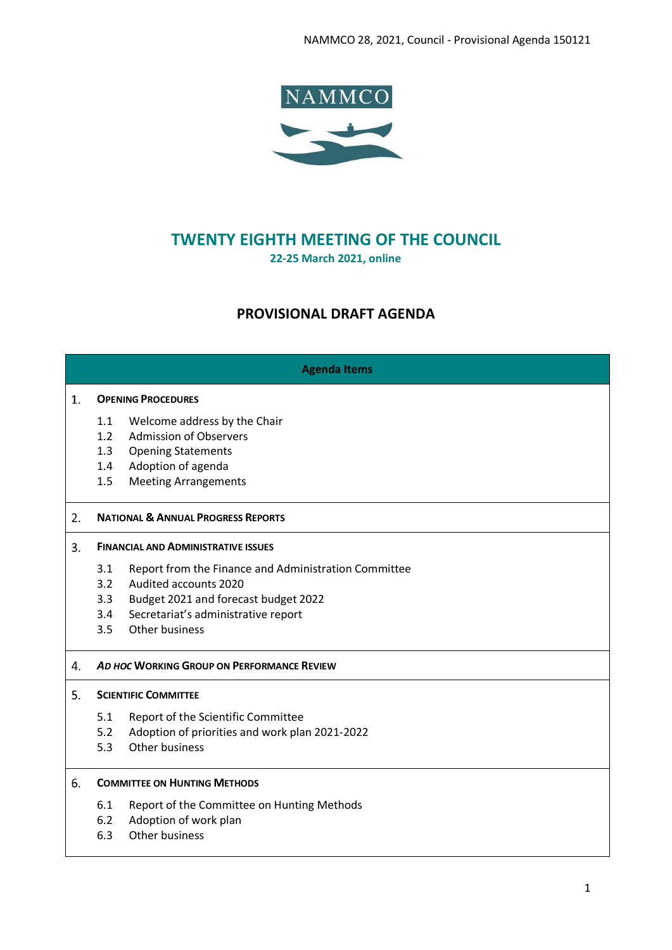

# **TWENTY EIGHTH MEETING OF THE COUNCIL 22-25 March 2021, online**

# **PROVISIONAL DRAFT AGENDA**

# **Agenda Items**

### **OPENING PROCEDURES**

- 1.1 Welcome address by the Chair
- 1.2 Admission of Observers
- 1.3 Opening Statements
- 1.4 Adoption of agenda
- 1.5 Meeting Arrangements

#### $2.$ **NATIONAL & ANNUAL PROGRESS REPORTS**

# **FINANCIAL AND ADMINISTRATIVE ISSUES**

- 3.1 Report from the Finance and Administration Committee
- 3.2 Audited accounts 2020
- 3.3 Budget 2021 and forecast budget 2022
- 3.4 Secretariat's administrative report
- 3.5 Other business

# *AD HOC* **WORKING GROUP ON PERFORMANCE REVIEW**

# **SCIENTIFIC COMMITTEE**

- 5.1 Report of the Scientific Committee
- 5.2 Adoption of priorities and work plan 2021-2022
- 5.3 Other business

#### 6. **COMMITTEE ON HUNTING METHODS**

- 6.1 Report of the Committee on Hunting Methods
- 6.2 Adoption of work plan
- 6.3 Other business